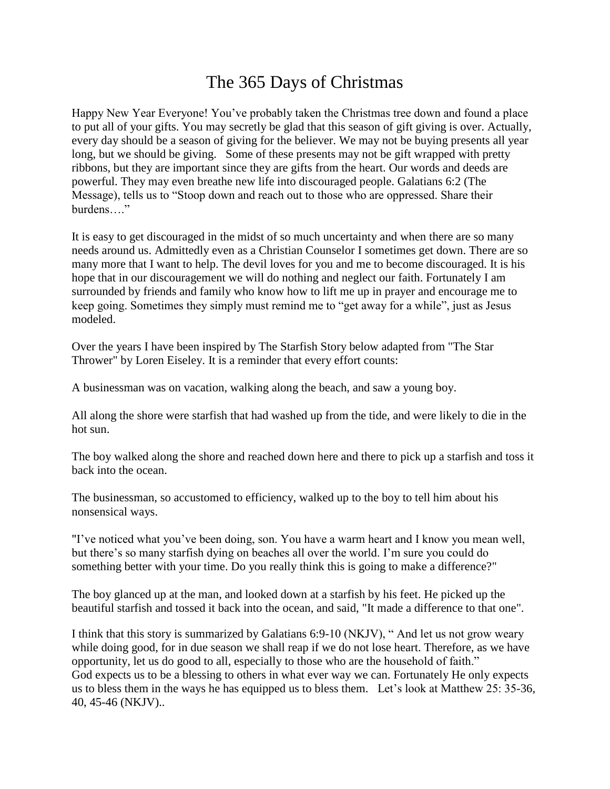## The 365 Days of Christmas

Happy New Year Everyone! You've probably taken the Christmas tree down and found a place to put all of your gifts. You may secretly be glad that this season of gift giving is over. Actually, every day should be a season of giving for the believer. We may not be buying presents all year long, but we should be giving. Some of these presents may not be gift wrapped with pretty ribbons, but they are important since they are gifts from the heart. Our words and deeds are powerful. They may even breathe new life into discouraged people. Galatians 6:2 (The Message), tells us to "Stoop down and reach out to those who are oppressed. Share their burdens…."

It is easy to get discouraged in the midst of so much uncertainty and when there are so many needs around us. Admittedly even as a Christian Counselor I sometimes get down. There are so many more that I want to help. The devil loves for you and me to become discouraged. It is his hope that in our discouragement we will do nothing and neglect our faith. Fortunately I am surrounded by friends and family who know how to lift me up in prayer and encourage me to keep going. Sometimes they simply must remind me to "get away for a while", just as Jesus modeled.

Over the years I have been inspired by The Starfish Story below adapted from "The Star Thrower" by Loren Eiseley. It is a reminder that every effort counts:

A businessman was on vacation, walking along the beach, and saw a young boy.

All along the shore were starfish that had washed up from the tide, and were likely to die in the hot sun.

The boy walked along the shore and reached down here and there to pick up a starfish and toss it back into the ocean.

The businessman, so accustomed to efficiency, walked up to the boy to tell him about his nonsensical ways.

"I've noticed what you've been doing, son. You have a warm heart and I know you mean well, but there's so many starfish dying on beaches all over the world. I'm sure you could do something better with your time. Do you really think this is going to make a difference?"

The boy glanced up at the man, and looked down at a starfish by his feet. He picked up the beautiful starfish and tossed it back into the ocean, and said, "It made a difference to that one".

I think that this story is summarized by Galatians 6:9-10 (NKJV), " And let us not grow weary while doing good, for in due season we shall reap if we do not lose heart. Therefore, as we have opportunity, let us do good to all, especially to those who are the household of faith." God expects us to be a blessing to others in what ever way we can. Fortunately He only expects us to bless them in the ways he has equipped us to bless them. Let's look at Matthew 25: 35-36, 40, 45-46 (NKJV)..